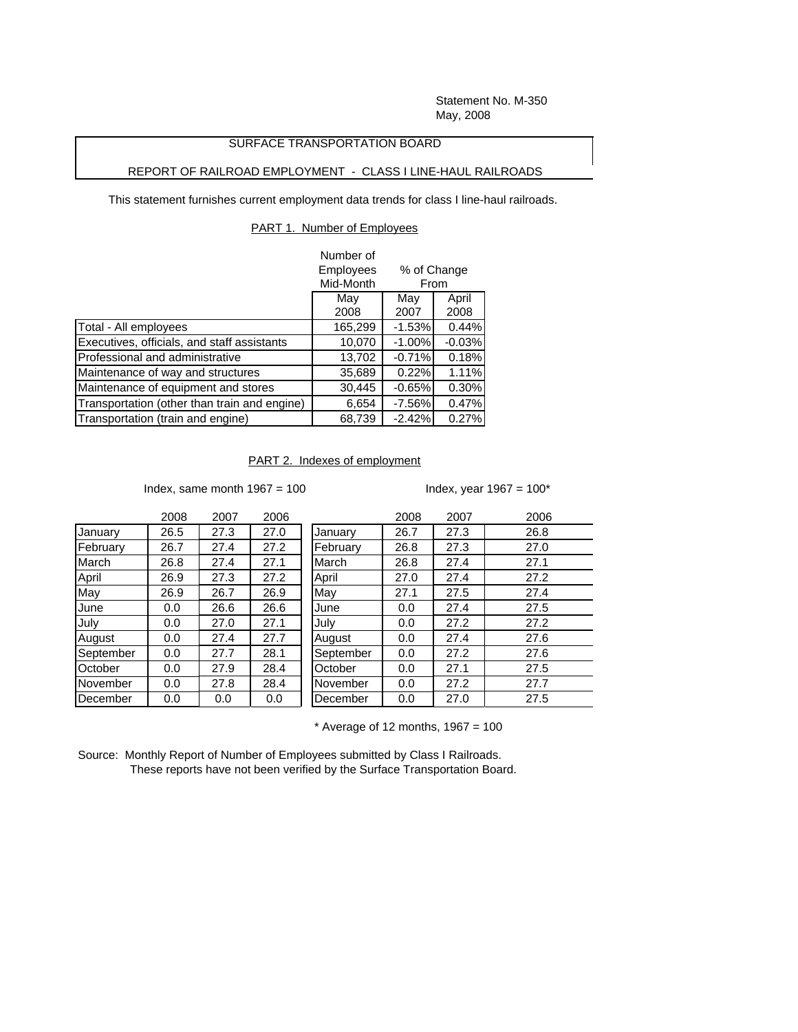Statement No. M-350 May, 2008

## SURFACE TRANSPORTATION BOARD

## REPORT OF RAILROAD EMPLOYMENT - CLASS I LINE-HAUL RAILROADS

This statement furnishes current employment data trends for class I line-haul railroads.

## PART 1. Number of Employees

|                                              | Number of        |             |          |  |
|----------------------------------------------|------------------|-------------|----------|--|
|                                              | <b>Employees</b> | % of Change |          |  |
|                                              | Mid-Month        | From        |          |  |
|                                              | May              | May         | April    |  |
|                                              | 2008             | 2007        | 2008     |  |
| Total - All employees                        | 165,299          | $-1.53%$    | 0.44%    |  |
| Executives, officials, and staff assistants  | 10,070           | $-1.00%$    | $-0.03%$ |  |
| Professional and administrative              | 13,702           | $-0.71%$    | 0.18%    |  |
| Maintenance of way and structures            | 35,689           | 0.22%       | 1.11%    |  |
| Maintenance of equipment and stores          | 30,445           | $-0.65%$    | 0.30%    |  |
| Transportation (other than train and engine) | 6,654            | $-7.56%$    | 0.47%    |  |
| Transportation (train and engine)            | 68.739           | $-2.42%$    | 0.27%    |  |

PART 2. Indexes of employment

Index, same month  $1967 = 100$  Index, year  $1967 = 100^*$ 

|             | 2008 | 2007 | 2006 |           | 2008 | 2007 | 2006 |
|-------------|------|------|------|-----------|------|------|------|
| January     | 26.5 | 27.3 | 27.0 | January   | 26.7 | 27.3 | 26.8 |
| February    | 26.7 | 27.4 | 27.2 | February  | 26.8 | 27.3 | 27.0 |
| March       | 26.8 | 27.4 | 27.1 | March     | 26.8 | 27.4 | 27.1 |
| April       | 26.9 | 27.3 | 27.2 | April     | 27.0 | 27.4 | 27.2 |
| May         | 26.9 | 26.7 | 26.9 | May       | 27.1 | 27.5 | 27.4 |
| <b>June</b> | 0.0  | 26.6 | 26.6 | June      | 0.0  | 27.4 | 27.5 |
| July        | 0.0  | 27.0 | 27.1 | July      | 0.0  | 27.2 | 27.2 |
| August      | 0.0  | 27.4 | 27.7 | August    | 0.0  | 27.4 | 27.6 |
| September   | 0.0  | 27.7 | 28.1 | September | 0.0  | 27.2 | 27.6 |
| October     | 0.0  | 27.9 | 28.4 | October   | 0.0  | 27.1 | 27.5 |
| November    | 0.0  | 27.8 | 28.4 | November  | 0.0  | 27.2 | 27.7 |
| December    | 0.0  | 0.0  | 0.0  | December  | 0.0  | 27.0 | 27.5 |

 $*$  Average of 12 months, 1967 = 100

Source: Monthly Report of Number of Employees submitted by Class I Railroads. These reports have not been verified by the Surface Transportation Board.